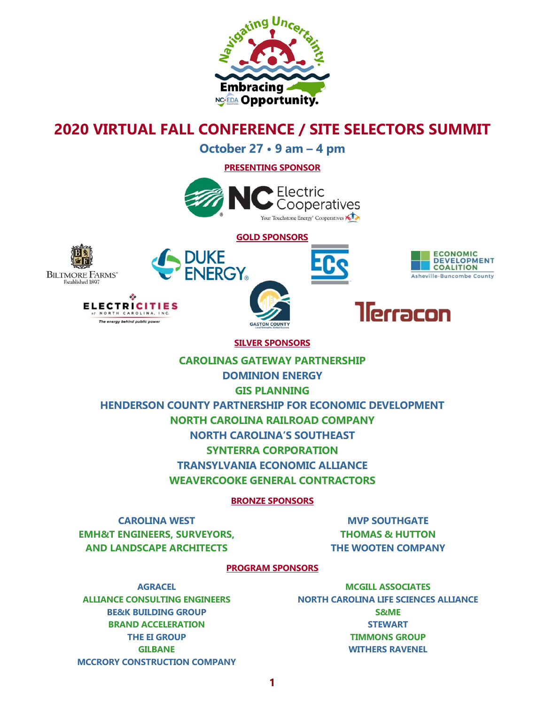

# **2020 VIRTUAL FALL CONFERENCE / SITE SELECTORS SUMMIT**

**October 27 • 9 am – 4 pm**

**PRESENTING SPONSOR**



**GOLD SPONSORS**











#### **SILVER SPONSORS**

### **CAROLINAS GATEWAY PARTNERSHIP**

**DOMINION ENERGY**

**GIS PLANNING**

**HENDERSON COUNTY PARTNERSHIP FOR ECONOMIC DEVELOPMENT**

**NORTH CAROLINA RAILROAD COMPANY**

**NORTH CAROLINA'S SOUTHEAST**

**SYNTERRA CORPORATION**

**TRANSYLVANIA ECONOMIC ALLIANCE**

**WEAVERCOOKE GENERAL CONTRACTORS**

**BRONZE SPONSORS**

**CAROLINA WEST EMH&T ENGINEERS, SURVEYORS, AND LANDSCAPE ARCHITECTS**

**MVP SOUTHGATE THOMAS & HUTTON THE WOOTEN COMPANY**

#### **PROGRAM SPONSORS**

**AGRACEL ALLIANCE CONSULTING ENGINEERS BE&K BUILDING GROUP BRAND ACCELERATION THE EI GROUP GILBANE MCCRORY CONSTRUCTION COMPANY**

**MCGILL ASSOCIATES NORTH CAROLINA LIFE SCIENCES ALLIANCE S&ME STEWART TIMMONS GROUP WITHERS RAVENEL**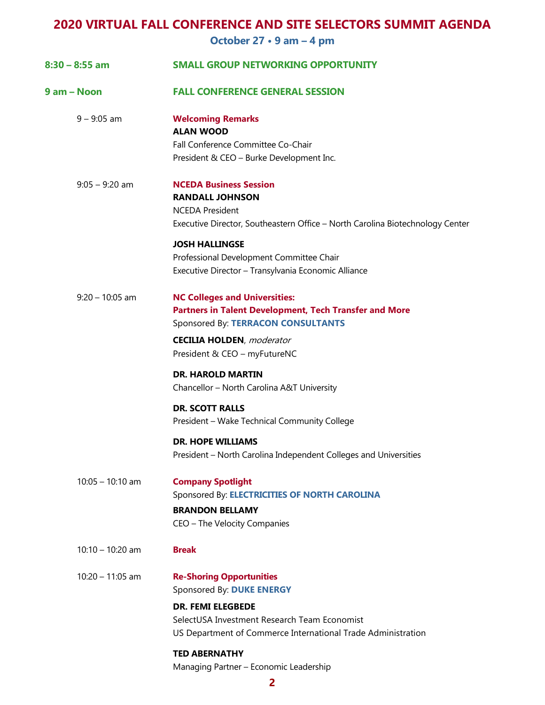## **2020 VIRTUAL FALL CONFERENCE AND SITE SELECTORS SUMMIT AGENDA**

**October 27 • 9 am – 4 pm**

| $8:30 - 8:55$ am   | <b>SMALL GROUP NETWORKING OPPORTUNITY</b>                                                                                                                                                                |
|--------------------|----------------------------------------------------------------------------------------------------------------------------------------------------------------------------------------------------------|
| 9 am - Noon        | <b>FALL CONFERENCE GENERAL SESSION</b>                                                                                                                                                                   |
| $9 - 9:05$ am      | <b>Welcoming Remarks</b><br><b>ALAN WOOD</b><br>Fall Conference Committee Co-Chair<br>President & CEO - Burke Development Inc.                                                                           |
| $9:05 - 9:20$ am   | <b>NCEDA Business Session</b><br><b>RANDALL JOHNSON</b><br><b>NCEDA President</b><br>Executive Director, Southeastern Office - North Carolina Biotechnology Center                                       |
|                    | <b>JOSH HALLINGSE</b><br>Professional Development Committee Chair<br>Executive Director - Transylvania Economic Alliance                                                                                 |
| $9:20 - 10:05$ am  | <b>NC Colleges and Universities:</b><br>Partners in Talent Development, Tech Transfer and More<br>Sponsored By: TERRACON CONSULTANTS                                                                     |
|                    | <b>CECILIA HOLDEN, moderator</b><br>President & CEO - myFutureNC                                                                                                                                         |
|                    | <b>DR. HAROLD MARTIN</b><br>Chancellor - North Carolina A&T University                                                                                                                                   |
|                    | <b>DR. SCOTT RALLS</b><br>President - Wake Technical Community College                                                                                                                                   |
|                    | <b>DR. HOPE WILLIAMS</b><br>President - North Carolina Independent Colleges and Universities                                                                                                             |
| $10:05 - 10:10$ am | <b>Company Spotlight</b><br>Sponsored By: ELECTRICITIES OF NORTH CAROLINA<br><b>BRANDON BELLAMY</b><br>CEO - The Velocity Companies                                                                      |
| $10:10 - 10:20$ am | <b>Break</b>                                                                                                                                                                                             |
| $10:20 - 11:05$ am | <b>Re-Shoring Opportunities</b><br>Sponsored By: DUKE ENERGY<br><b>DR. FEMI ELEGBEDE</b><br>SelectUSA Investment Research Team Economist<br>US Department of Commerce International Trade Administration |
|                    | <b>TED ABERNATHY</b><br>Managing Partner - Economic Leadership                                                                                                                                           |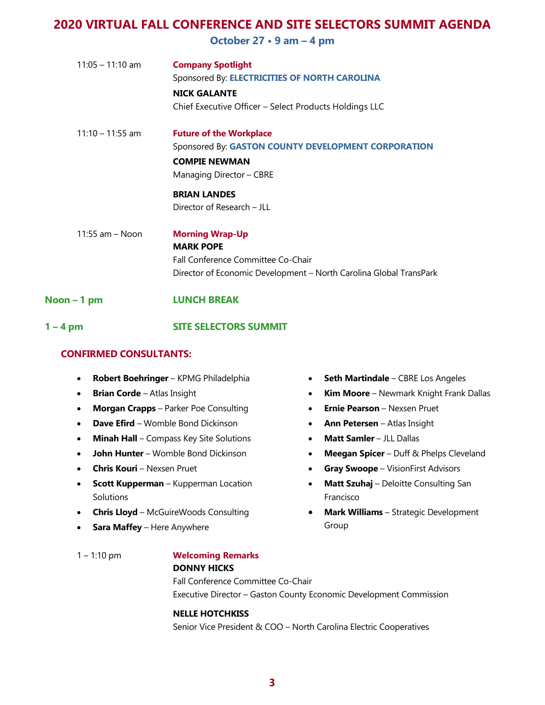## **2020 VIRTUAL FALL CONFERENCE AND SITE SELECTORS SUMMIT AGENDA**

**October 27 • 9 am – 4 pm**

| $11:05 - 11:10$ am  | <b>Company Spotlight</b>                                           |
|---------------------|--------------------------------------------------------------------|
|                     | Sponsored By: ELECTRICITIES OF NORTH CAROLINA                      |
|                     | <b>NICK GALANTE</b>                                                |
|                     | Chief Executive Officer - Select Products Holdings LLC             |
| $11:10 - 11:55$ am  | <b>Future of the Workplace</b>                                     |
|                     | Sponsored By: GASTON COUNTY DEVELOPMENT CORPORATION                |
|                     | <b>COMPIE NEWMAN</b>                                               |
|                     | Managing Director - CBRE                                           |
|                     | <b>BRIAN LANDES</b>                                                |
|                     | Director of Research - JLL                                         |
| $11:55$ am $-$ Noon | <b>Morning Wrap-Up</b>                                             |
|                     | <b>MARK POPE</b>                                                   |
|                     | Fall Conference Committee Co-Chair                                 |
|                     | Director of Economic Development - North Carolina Global TransPark |

#### **Noon – 1 pm LUNCH BREAK**

#### **1 – 4 pm SITE SELECTORS SUMMIT**

#### **CONFIRMED CONSULTANTS:**

- **Robert Boehringer** KPMG Philadelphia
- **Brian Corde** Atlas Insight
- **Morgan Crapps** Parker Poe Consulting
- **Dave Efird** Womble Bond Dickinson
- **Minah Hall** Compass Key Site Solutions
- **John Hunter** Womble Bond Dickinson
- **Chris Kouri** Nexsen Pruet
- **Scott Kupperman** Kupperman Location Solutions
- **Chris Lloyd** McGuireWoods Consulting
- **Sara Maffey** Here Anywhere
- **Seth Martindale** CBRE Los Angeles
- **Kim Moore** Newmark Knight Frank Dallas
- **Ernie Pearson** Nexsen Pruet
- **Ann Petersen** Atlas Insight
- **Matt Samler** JLL Dallas
- **Meegan Spicer** Duff & Phelps Cleveland
- **Gray Swoope** VisionFirst Advisors
- **Matt Szuhaj** Deloitte Consulting San Francisco
- **Mark Williams** Strategic Development Group

## 1 – 1:10 pm **Welcoming Remarks**

### **DONNY HICKS**

Fall Conference Committee Co-Chair Executive Director – Gaston County Economic Development Commission

#### **NELLE HOTCHKISS**

Senior Vice President & COO – North Carolina Electric Cooperatives